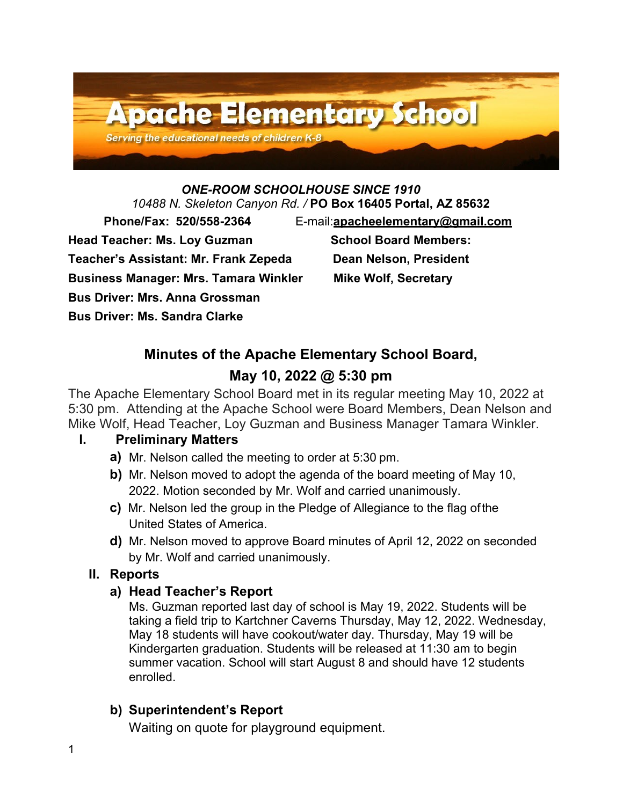

# *ONE-ROOM SCHOOLHOUSE SINCE 1910*

*10488 N. Skeleton Canyon Rd. /* **PO Box 16405 Portal, AZ 85632**

Head Teacher: Ms. Loy Guzman **School Board Members:** 

**Teacher's Assistant: Mr. Frank Zepeda Dean Nelson, President**

**Business Manager: Mrs. Tamara Winkler Mike Wolf, Secretary**

**Bus Driver: Mrs. Anna Grossman** 

**Bus Driver: Ms. Sandra Clarke** 

 **Phone/Fax: 520/558-2364** E-mail:**[apacheelementary@gmail.com](mailto:apacheelementary@gmail.com)**

## **Minutes of the Apache Elementary School Board,**

## **May 10, 2022 @ 5:30 pm**

The Apache Elementary School Board met in its regular meeting May 10, 2022 at 5:30 pm. Attending at the Apache School were Board Members, Dean Nelson and Mike Wolf, Head Teacher, Loy Guzman and Business Manager Tamara Winkler.

### **I. Preliminary Matters**

- **a)** Mr. Nelson called the meeting to order at 5:30 pm.
- **b)** Mr. Nelson moved to adopt the agenda of the board meeting of May 10, 2022. Motion seconded by Mr. Wolf and carried unanimously.
- **c)** Mr. Nelson led the group in the Pledge of Allegiance to the flag ofthe United States of America.
- **d)** Mr. Nelson moved to approve Board minutes of April 12, 2022 on seconded by Mr. Wolf and carried unanimously.

## **II. Reports**

### **a) Head Teacher's Report**

Ms. Guzman reported last day of school is May 19, 2022. Students will be taking a field trip to Kartchner Caverns Thursday, May 12, 2022. Wednesday, May 18 students will have cookout/water day. Thursday, May 19 will be Kindergarten graduation. Students will be released at 11:30 am to begin summer vacation. School will start August 8 and should have 12 students enrolled.

## **b) Superintendent's Report**

Waiting on quote for playground equipment.